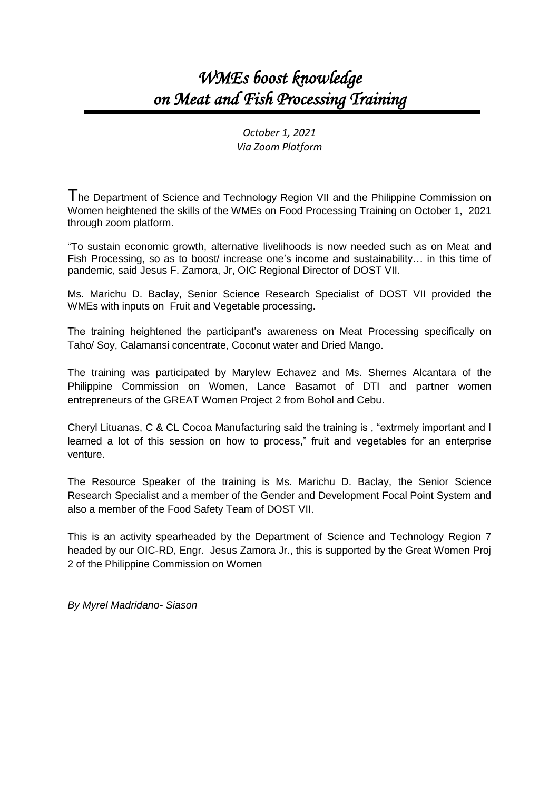## *WMEs boost knowledge on Meat and Fish Processing Training*

*October 1, 2021 Via Zoom Platform*

The Department of Science and Technology Region VII and the Philippine Commission on Women heightened the skills of the WMEs on Food Processing Training on October 1, 2021 through zoom platform.

"To sustain economic growth, alternative livelihoods is now needed such as on Meat and Fish Processing, so as to boost/ increase one's income and sustainability… in this time of pandemic, said Jesus F. Zamora, Jr, OIC Regional Director of DOST VII.

Ms. Marichu D. Baclay, Senior Science Research Specialist of DOST VII provided the WMEs with inputs on Fruit and Vegetable processing.

The training heightened the participant's awareness on Meat Processing specifically on Taho/ Soy, Calamansi concentrate, Coconut water and Dried Mango.

The training was participated by Marylew Echavez and Ms. Shernes Alcantara of the Philippine Commission on Women, Lance Basamot of DTI and partner women entrepreneurs of the GREAT Women Project 2 from Bohol and Cebu.

Cheryl Lituanas, C & CL Cocoa Manufacturing said the training is , "extrmely important and I learned a lot of this session on how to process," fruit and vegetables for an enterprise venture.

The Resource Speaker of the training is Ms. Marichu D. Baclay, the Senior Science Research Specialist and a member of the Gender and Development Focal Point System and also a member of the Food Safety Team of DOST VII.

This is an activity spearheaded by the Department of Science and Technology Region 7 headed by our OIC-RD, Engr. Jesus Zamora Jr., this is supported by the Great Women Proj 2 of the Philippine Commission on Women

*By Myrel Madridano- Siason*